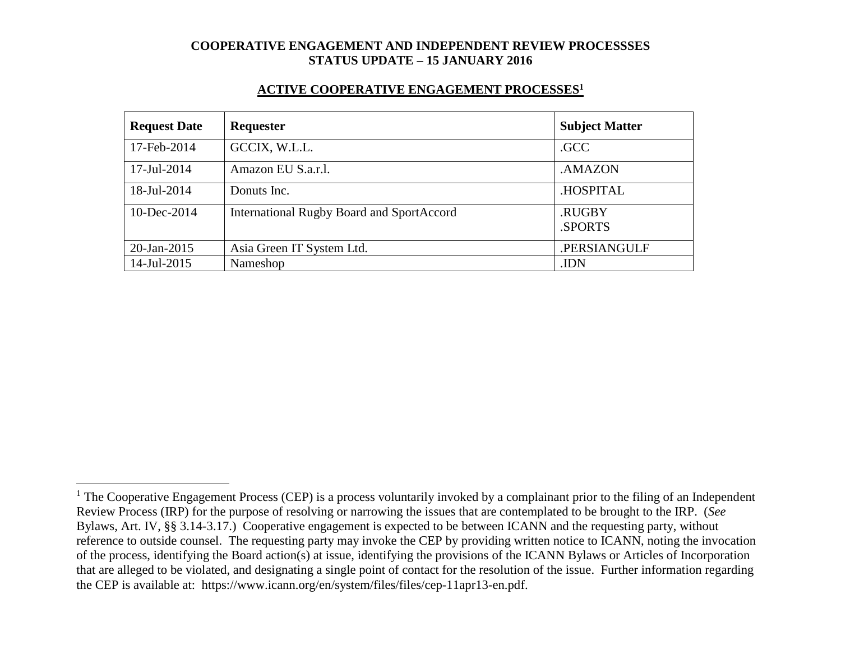#### **ACTIVE COOPERATIVE ENGAGEMENT PROCESSES<sup>1</sup>**

| <b>Request Date</b> | <b>Requester</b>                                 | <b>Subject Matter</b> |
|---------------------|--------------------------------------------------|-----------------------|
| 17-Feb-2014         | GCCIX, W.L.L.                                    | .GCC                  |
| 17-Jul-2014         | Amazon EU S.a.r.l.                               | .AMAZON               |
| 18-Jul-2014         | Donuts Inc.                                      | .HOSPITAL             |
| $10$ -Dec-2014      | <b>International Rugby Board and SportAccord</b> | .RUGBY<br>.SPORTS     |
| 20-Jan-2015         | Asia Green IT System Ltd.                        | .PERSIANGULF          |
| 14-Jul-2015         | Nameshop                                         | .IDN                  |

 $\overline{a}$ 

 $1$  The Cooperative Engagement Process (CEP) is a process voluntarily invoked by a complainant prior to the filing of an Independent Review Process (IRP) for the purpose of resolving or narrowing the issues that are contemplated to be brought to the IRP. (*See* Bylaws, Art. IV, §§ 3.14-3.17.) Cooperative engagement is expected to be between ICANN and the requesting party, without reference to outside counsel. The requesting party may invoke the CEP by providing written notice to ICANN, noting the invocation of the process, identifying the Board action(s) at issue, identifying the provisions of the ICANN Bylaws or Articles of Incorporation that are alleged to be violated, and designating a single point of contact for the resolution of the issue. Further information regarding the CEP is available at: https://www.icann.org/en/system/files/files/cep-11apr13-en.pdf.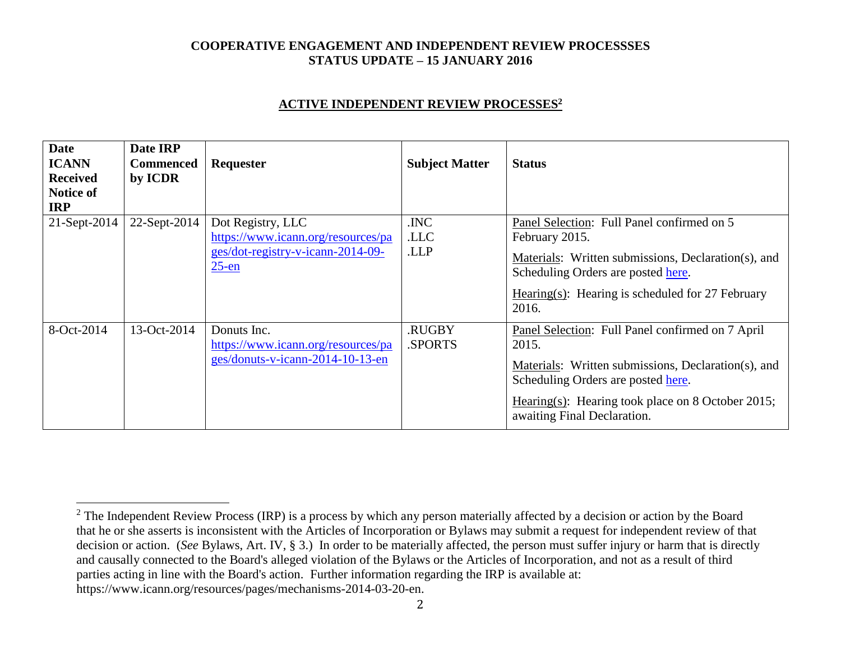#### **ACTIVE INDEPENDENT REVIEW PROCESSES<sup>2</sup>**

| <b>Date</b><br><b>ICANN</b><br><b>Received</b><br>Notice of<br><b>IRP</b> | Date IRP<br><b>Commenced</b><br>by ICDR | Requester                                                                                                | <b>Subject Matter</b>   | <b>Status</b>                                                                                                                                                                                                                              |
|---------------------------------------------------------------------------|-----------------------------------------|----------------------------------------------------------------------------------------------------------|-------------------------|--------------------------------------------------------------------------------------------------------------------------------------------------------------------------------------------------------------------------------------------|
| 21-Sept-2014                                                              | 22-Sept-2014                            | Dot Registry, LLC<br>https://www.icann.org/resources/pa<br>ges/dot-registry-v-icann-2014-09-<br>$25$ -en | .INC<br>.LLC<br>.LLP    | Panel Selection: Full Panel confirmed on 5<br>February 2015.<br>Materials: Written submissions, Declaration(s), and<br>Scheduling Orders are posted here.<br>Hearing(s): Hearing is scheduled for $27$ February<br>2016.                   |
| 8-Oct-2014                                                                | 13-Oct-2014                             | Donuts Inc.<br>https://www.icann.org/resources/pa<br>ges/donuts-v-icann-2014-10-13-en                    | <b>RUGBY</b><br>.SPORTS | Panel Selection: Full Panel confirmed on 7 April<br>2015.<br>Materials: Written submissions, Declaration(s), and<br>Scheduling Orders are posted here.<br>Hearing(s): Hearing took place on 8 October 2015;<br>awaiting Final Declaration. |

 $\overline{a}$ 

<sup>&</sup>lt;sup>2</sup> The Independent Review Process (IRP) is a process by which any person materially affected by a decision or action by the Board that he or she asserts is inconsistent with the Articles of Incorporation or Bylaws may submit a request for independent review of that decision or action. (*See* Bylaws, Art. IV, § 3.) In order to be materially affected, the person must suffer injury or harm that is directly and causally connected to the Board's alleged violation of the Bylaws or the Articles of Incorporation, and not as a result of third parties acting in line with the Board's action. Further information regarding the IRP is available at: https://www.icann.org/resources/pages/mechanisms-2014-03-20-en.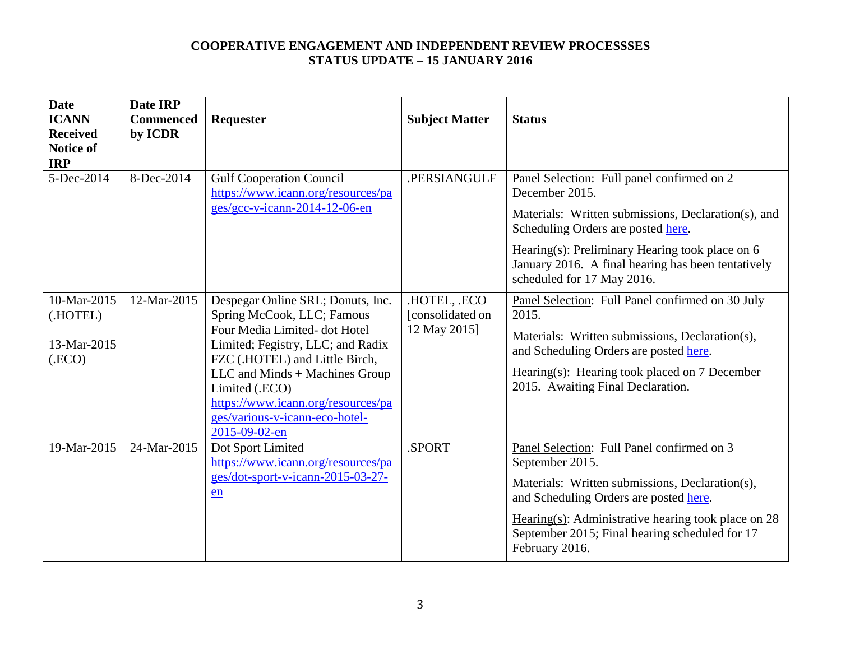| <b>Date</b><br><b>ICANN</b><br><b>Received</b><br><b>Notice of</b><br><b>IRP</b> | Date IRP<br><b>Commenced</b><br>by ICDR | Requester                                                                                                                                                                                                                                                                                                           | <b>Subject Matter</b>                            | <b>Status</b>                                                                                                                                                                                                                                                                                        |
|----------------------------------------------------------------------------------|-----------------------------------------|---------------------------------------------------------------------------------------------------------------------------------------------------------------------------------------------------------------------------------------------------------------------------------------------------------------------|--------------------------------------------------|------------------------------------------------------------------------------------------------------------------------------------------------------------------------------------------------------------------------------------------------------------------------------------------------------|
| 5-Dec-2014                                                                       | 8-Dec-2014                              | <b>Gulf Cooperation Council</b><br>https://www.icann.org/resources/pa<br>ges/gcc-v-icann-2014-12-06-en                                                                                                                                                                                                              | .PERSIANGULF                                     | Panel Selection: Full panel confirmed on 2<br>December 2015.<br>Materials: Written submissions, Declaration(s), and<br>Scheduling Orders are posted here.<br>Hearing $(s)$ : Preliminary Hearing took place on 6<br>January 2016. A final hearing has been tentatively<br>scheduled for 17 May 2016. |
| 10-Mar-2015<br>(.HOTEL)<br>13-Mar-2015<br>$($ .ECO $)$                           | 12-Mar-2015                             | Despegar Online SRL; Donuts, Inc.<br>Spring McCook, LLC; Famous<br>Four Media Limited-dot Hotel<br>Limited; Fegistry, LLC; and Radix<br>FZC (.HOTEL) and Little Birch,<br>LLC and Minds + Machines Group<br>Limited (.ECO)<br>https://www.icann.org/resources/pa<br>ges/various-v-icann-eco-hotel-<br>2015-09-02-en | .HOTEL, .ECO<br>[consolidated on<br>12 May 2015] | Panel Selection: Full Panel confirmed on 30 July<br>2015.<br>Materials: Written submissions, Declaration(s),<br>and Scheduling Orders are posted here.<br>Hearing(s): Hearing took placed on 7 December<br>2015. Awaiting Final Declaration.                                                         |
| 19-Mar-2015                                                                      | 24-Mar-2015                             | Dot Sport Limited<br>https://www.icann.org/resources/pa<br>ges/dot-sport-v-icann-2015-03-27-<br>en                                                                                                                                                                                                                  | .SPORT                                           | Panel Selection: Full Panel confirmed on 3<br>September 2015.<br>Materials: Written submissions, Declaration(s),<br>and Scheduling Orders are posted here.<br>Hearing(s): Administrative hearing took place on $28$<br>September 2015; Final hearing scheduled for 17<br>February 2016.              |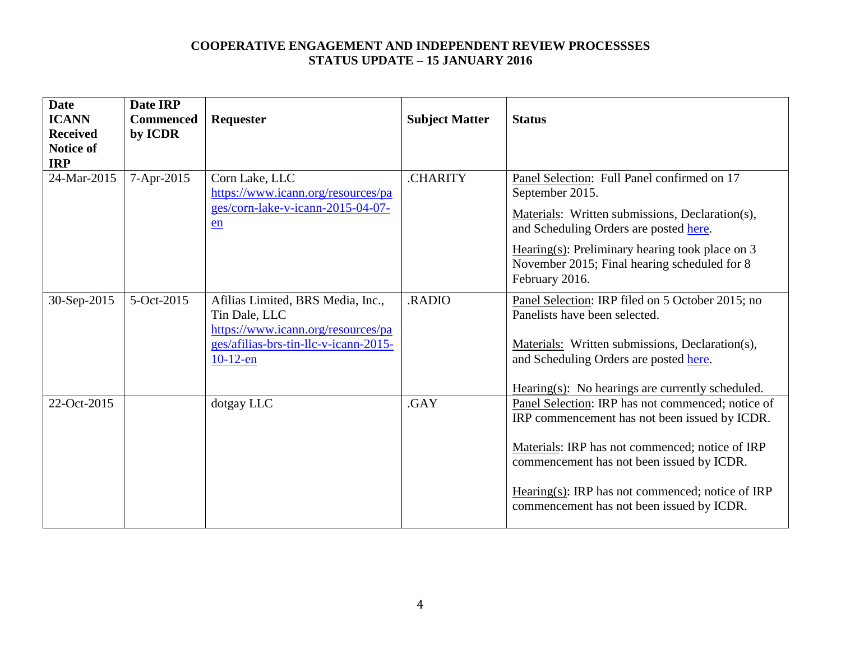| <b>Date</b><br><b>ICANN</b><br><b>Received</b><br><b>Notice of</b><br><b>IRP</b> | Date IRP<br><b>Commenced</b><br>by ICDR | <b>Requester</b>                                                                                                                                 | <b>Subject Matter</b> | <b>Status</b>                                                                                                                                                                                                                                                                                       |
|----------------------------------------------------------------------------------|-----------------------------------------|--------------------------------------------------------------------------------------------------------------------------------------------------|-----------------------|-----------------------------------------------------------------------------------------------------------------------------------------------------------------------------------------------------------------------------------------------------------------------------------------------------|
| 24-Mar-2015                                                                      | 7-Apr-2015                              | Corn Lake, LLC<br>https://www.icann.org/resources/pa<br>ges/corn-lake-v-icann-2015-04-07-<br>en                                                  | <b>CHARITY</b>        | Panel Selection: Full Panel confirmed on 17<br>September 2015.<br>Materials: Written submissions, Declaration(s),<br>and Scheduling Orders are posted here.<br>$Hearing(s): Preliminary hearing took place on 3$<br>November 2015; Final hearing scheduled for 8<br>February 2016.                  |
| 30-Sep-2015                                                                      | 5-Oct-2015                              | Afilias Limited, BRS Media, Inc.,<br>Tin Dale, LLC<br>https://www.icann.org/resources/pa<br>ges/afilias-brs-tin-llc-v-icann-2015-<br>$10-12$ -en | .RADIO                | Panel Selection: IRP filed on 5 October 2015; no<br>Panelists have been selected.<br>Materials: Written submissions, Declaration(s),<br>and Scheduling Orders are posted here.<br>$Hearing(s): No hearings are currently scheduled.$                                                                |
| 22-Oct-2015                                                                      |                                         | dotgay LLC                                                                                                                                       | .GAY                  | Panel Selection: IRP has not commenced; notice of<br>IRP commencement has not been issued by ICDR.<br>Materials: IRP has not commenced; notice of IRP<br>commencement has not been issued by ICDR.<br>Hearing(s): IRP has not commenced; notice of IRP<br>commencement has not been issued by ICDR. |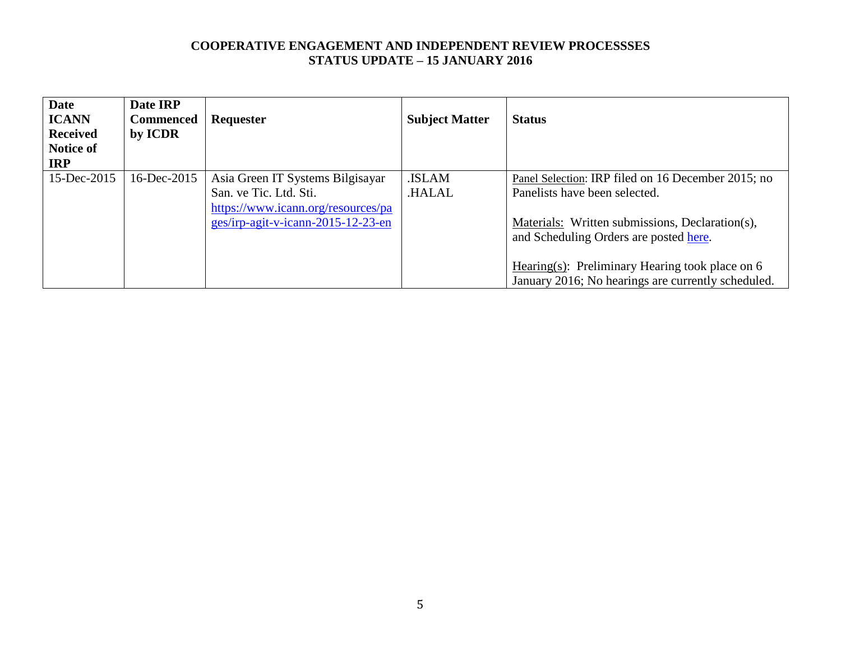| Requester                                                                                                                              | <b>Subject Matter</b>  | <b>Status</b>                                                                                                                                                                                                                         |
|----------------------------------------------------------------------------------------------------------------------------------------|------------------------|---------------------------------------------------------------------------------------------------------------------------------------------------------------------------------------------------------------------------------------|
| Asia Green IT Systems Bilgisayar<br>San. ve Tic. Ltd. Sti.<br>https://www.icann.org/resources/pa<br>ges/irp-agit-v-icann-2015-12-23-en | .ISLAM<br><b>HALAL</b> | Panel Selection: IRP filed on 16 December 2015; no<br>Panelists have been selected.<br>Materials: Written submissions, Declaration(s),<br>and Scheduling Orders are posted here.<br>Hearing(s): Preliminary Hearing took place on $6$ |
|                                                                                                                                        |                        |                                                                                                                                                                                                                                       |